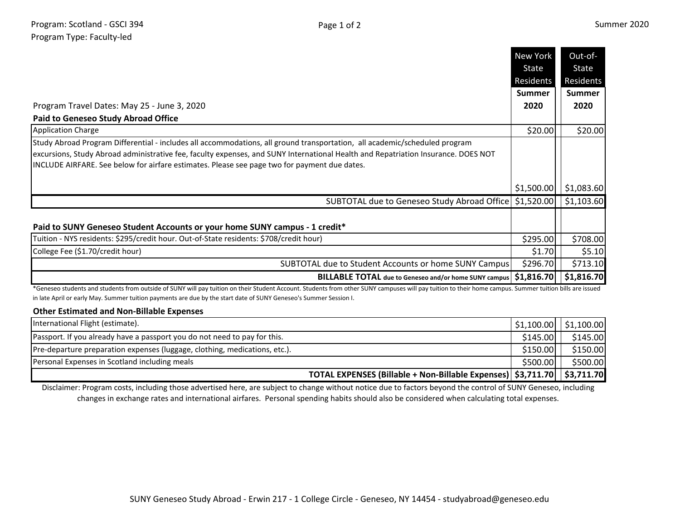|                                                                                                                                                                                                                                                                                                                                                                 | New York<br>State | Out-of-<br>State |
|-----------------------------------------------------------------------------------------------------------------------------------------------------------------------------------------------------------------------------------------------------------------------------------------------------------------------------------------------------------------|-------------------|------------------|
|                                                                                                                                                                                                                                                                                                                                                                 | Residents         | Residents        |
|                                                                                                                                                                                                                                                                                                                                                                 | <b>Summer</b>     | <b>Summer</b>    |
| Program Travel Dates: May 25 - June 3, 2020                                                                                                                                                                                                                                                                                                                     | 2020              | 2020             |
| <b>Paid to Geneseo Study Abroad Office</b>                                                                                                                                                                                                                                                                                                                      |                   |                  |
| <b>Application Charge</b>                                                                                                                                                                                                                                                                                                                                       | \$20.00           | \$20.00          |
| Study Abroad Program Differential - includes all accommodations, all ground transportation, all academic/scheduled program<br>excursions, Study Abroad administrative fee, faculty expenses, and SUNY International Health and Repatriation Insurance. DOES NOT<br>INCLUDE AIRFARE. See below for airfare estimates. Please see page two for payment due dates. |                   |                  |
|                                                                                                                                                                                                                                                                                                                                                                 | \$1,500.00        | \$1,083.60       |
| SUBTOTAL due to Geneseo Study Abroad Office   \$1,520.00                                                                                                                                                                                                                                                                                                        |                   | \$1,103.60       |
| Paid to SUNY Geneseo Student Accounts or your home SUNY campus - 1 credit*                                                                                                                                                                                                                                                                                      |                   |                  |
| Tuition - NYS residents: \$295/credit hour. Out-of-State residents: \$708/credit hour)                                                                                                                                                                                                                                                                          | \$295.00          | \$708.00         |
| College Fee (\$1.70/credit hour)                                                                                                                                                                                                                                                                                                                                | \$1.70            | \$5.10           |
| SUBTOTAL due to Student Accounts or home SUNY Campus                                                                                                                                                                                                                                                                                                            | \$296.70          | \$713.10         |
| BILLABLE TOTAL due to Geneseo and/or home SUNY campus   \$1,816.70                                                                                                                                                                                                                                                                                              |                   | \$1,816.70       |

\*Geneseo students and students from outside of SUNY will pay tuition on their Student Account. Students from other SUNY campuses will pay tuition to their home campus. Summer tuition bills are issued in late April or early May. Summer tuition payments are due by the start date of SUNY Geneseo's Summer Session I.

## **Other Estimated and Non-Billable Expenses**

|                                                                            | TOTAL EXPENSES (Billable + Non-Billable Expenses)   \$3,711.70     \$3,711.70 |                                       |
|----------------------------------------------------------------------------|-------------------------------------------------------------------------------|---------------------------------------|
| Personal Expenses in Scotland including meals                              | \$500.00                                                                      | \$500.00                              |
| Pre-departure preparation expenses (luggage, clothing, medications, etc.). | \$150.00                                                                      | \$150.00                              |
| Passport. If you already have a passport you do not need to pay for this.  | \$145.00                                                                      | \$145.00                              |
| International Flight (estimate).                                           |                                                                               | $\vert$ \$1,100.00 $\vert$ \$1,100.00 |

Disclaimer: Program costs, including those advertised here, are subject to change without notice due to factors beyond the control of SUNY Geneseo, including changes in exchange rates and international airfares. Personal spending habits should also be considered when calculating total expenses.